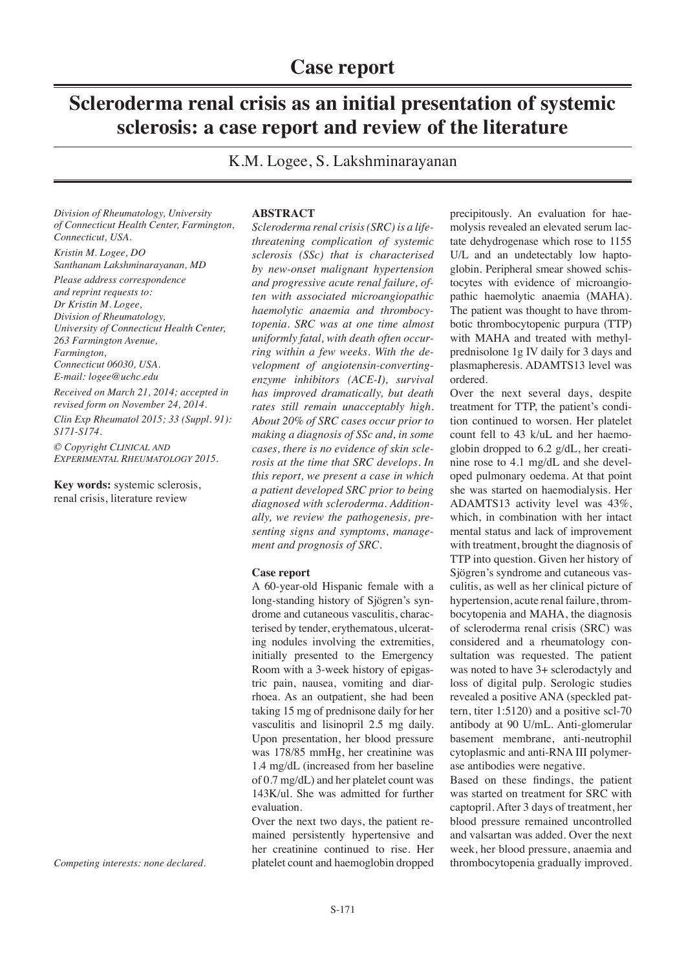# **Scleroderma renal crisis as an initial presentation of systemic sclerosis: a case report and review of the literature**

K.M. Logee, S. Lakshminarayanan

*Division of Rheumatology, University of Connecticut Health Center, Farmington, Connecticut, USA.*

*Kristin M. Logee, DO Santhanam Lakshminarayanan, MD Please address correspondence and reprint requests to: Dr Kristin M. Logee, Division of Rheumatology, University of Connecticut Health Center, 263 Farmington Avenue, Farmington,* 

*Connecticut 06030, USA.*

*E-mail: logee@uchc.edu*

*Received on March 21, 2014; accepted in revised form on November 24, 2014.*

*Clin Exp Rheumatol 2015; 33 (Suppl. 91): S171-S174.*

*© Copyright Clinical and Experimental Rheumatology 2015.*

**Key words:** systemic sclerosis, renal crisis, literature review

#### **ABSTRACT**

*Scleroderma renal crisis (SRC) is a lifethreatening complication of systemic sclerosis (SSc) that is characterised by new-onset malignant hypertension and progressive acute renal failure, often with associated microangiopathic haemolytic anaemia and thrombocytopenia. SRC was at one time almost uniformly fatal, with death often occurring within a few weeks. With the development of angiotensin-convertingenzyme inhibitors (ACE-I), survival has improved dramatically, but death rates still remain unacceptably high. About 20% of SRC cases occur prior to making a diagnosis of SSc and, in some cases, there is no evidence of skin sclerosis at the time that SRC develops. In this report, we present a case in which a patient developed SRC prior to being diagnosed with scleroderma. Additionally, we review the pathogenesis, presenting signs and symptoms, management and prognosis of SRC.*

### **Case report**

A 60-year-old Hispanic female with a long-standing history of Sjögren's syndrome and cutaneous vasculitis, characterised by tender, erythematous, ulcerating nodules involving the extremities, initially presented to the Emergency Room with a 3-week history of epigastric pain, nausea, vomiting and diarrhoea. As an outpatient, she had been taking 15 mg of prednisone daily for her vasculitis and lisinopril 2.5 mg daily. Upon presentation, her blood pressure was 178/85 mmHg, her creatinine was 1.4 mg/dL (increased from her baseline of 0.7 mg/dL) and her platelet count was 143K/ul. She was admitted for further evaluation.

Over the next two days, the patient remained persistently hypertensive and her creatinine continued to rise. Her platelet count and haemoglobin dropped

precipitously. An evaluation for haemolysis revealed an elevated serum lactate dehydrogenase which rose to 1155 U/L and an undetectably low haptoglobin. Peripheral smear showed schistocytes with evidence of microangiopathic haemolytic anaemia (MAHA). The patient was thought to have thrombotic thrombocytopenic purpura (TTP) with MAHA and treated with methylprednisolone 1g IV daily for 3 days and plasmapheresis. ADAMTS13 level was ordered.

Over the next several days, despite treatment for TTP, the patient's condition continued to worsen. Her platelet count fell to 43 k/uL and her haemoglobin dropped to 6.2 g/dL, her creatinine rose to 4.1 mg/dL and she developed pulmonary oedema. At that point she was started on haemodialysis. Her ADAMTS13 activity level was 43%, which, in combination with her intact mental status and lack of improvement with treatment, brought the diagnosis of TTP into question. Given her history of Sjögren's syndrome and cutaneous vasculitis, as well as her clinical picture of hypertension, acute renal failure, thrombocytopenia and MAHA, the diagnosis of scleroderma renal crisis (SRC) was considered and a rheumatology consultation was requested. The patient was noted to have 3+ sclerodactyly and loss of digital pulp. Serologic studies revealed a positive ANA (speckled pattern, titer 1:5120) and a positive scl-70 antibody at 90 U/mL. Anti-glomerular basement membrane, anti-neutrophil cytoplasmic and anti-RNA III polymerase antibodies were negative.

Based on these findings, the patient was started on treatment for SRC with captopril. After 3 days of treatment, her blood pressure remained uncontrolled and valsartan was added. Over the next week, her blood pressure, anaemia and thrombocytopenia gradually improved.

*Competing interests: none declared.*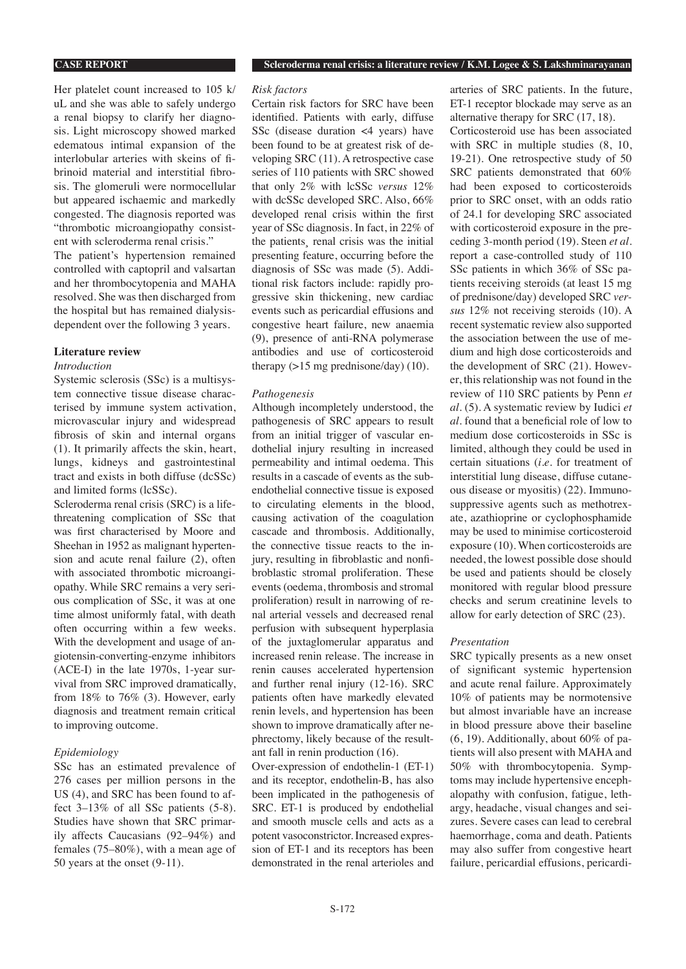**CASE REPORT Scleroderma renal crisis: a literature review / K.M. Logee & S. Lakshminarayanan**

# Her platelet count increased to 105 k/ uL and she was able to safely undergo a renal biopsy to clarify her diagnosis. Light microscopy showed marked edematous intimal expansion of the interlobular arteries with skeins of fibrinoid material and interstitial fibrosis. The glomeruli were normocellular but appeared ischaemic and markedly congested. The diagnosis reported was "thrombotic microangiopathy consistent with scleroderma renal crisis."

The patient's hypertension remained controlled with captopril and valsartan and her thrombocytopenia and MAHA resolved. She was then discharged from the hospital but has remained dialysisdependent over the following 3 years.

### **Literature review**

#### *Introduction*

Systemic sclerosis (SSc) is a multisystem connective tissue disease characterised by immune system activation, microvascular injury and widespread fibrosis of skin and internal organs (1). It primarily affects the skin, heart, lungs, kidneys and gastrointestinal tract and exists in both diffuse (dcSSc) and limited forms (lcSSc).

Scleroderma renal crisis (SRC) is a lifethreatening complication of SSc that was first characterised by Moore and Sheehan in 1952 as malignant hypertension and acute renal failure (2), often with associated thrombotic microangiopathy. While SRC remains a very serious complication of SSc, it was at one time almost uniformly fatal, with death often occurring within a few weeks. With the development and usage of angiotensin-converting-enzyme inhibitors (ACE-I) in the late 1970s, 1-year survival from SRC improved dramatically, from 18% to 76% (3). However, early diagnosis and treatment remain critical to improving outcome.

### *Epidemiology*

SSc has an estimated prevalence of 276 cases per million persons in the US (4), and SRC has been found to affect 3–13% of all SSc patients (5-8). Studies have shown that SRC primarily affects Caucasians (92–94%) and females (75–80%), with a mean age of 50 years at the onset (9-11).

## *Risk factors*

Certain risk factors for SRC have been identified. Patients with early, diffuse SSc (disease duration  $\leq 4$  years) have been found to be at greatest risk of developing SRC (11). A retrospective case series of 110 patients with SRC showed that only 2% with lcSSc *versus* 12% with dcSSc developed SRC. Also, 66% developed renal crisis within the first year of SSc diagnosis. In fact, in 22% of the patients¸ renal crisis was the initial presenting feature, occurring before the diagnosis of SSc was made (5). Additional risk factors include: rapidly progressive skin thickening, new cardiac events such as pericardial effusions and congestive heart failure, new anaemia (9), presence of anti-RNA polymerase antibodies and use of corticosteroid therapy  $(>15 \text{ mg prednisone/day})$  (10).

## *Pathogenesis*

Although incompletely understood, the pathogenesis of SRC appears to result from an initial trigger of vascular endothelial injury resulting in increased permeability and intimal oedema. This results in a cascade of events as the subendothelial connective tissue is exposed to circulating elements in the blood, causing activation of the coagulation cascade and thrombosis. Additionally, the connective tissue reacts to the injury, resulting in fibroblastic and nonfibroblastic stromal proliferation. These events (oedema, thrombosis and stromal proliferation) result in narrowing of renal arterial vessels and decreased renal perfusion with subsequent hyperplasia of the juxtaglomerular apparatus and increased renin release. The increase in renin causes accelerated hypertension and further renal injury (12-16). SRC patients often have markedly elevated renin levels, and hypertension has been shown to improve dramatically after nephrectomy, likely because of the resultant fall in renin production (16).

Over-expression of endothelin-1 (ET-1) and its receptor, endothelin-B, has also been implicated in the pathogenesis of SRC. ET-1 is produced by endothelial and smooth muscle cells and acts as a potent vasoconstrictor. Increased expression of ET-1 and its receptors has been demonstrated in the renal arterioles and

arteries of SRC patients. In the future, ET-1 receptor blockade may serve as an alternative therapy for SRC (17, 18).

Corticosteroid use has been associated with SRC in multiple studies (8, 10, 19-21). One retrospective study of 50 SRC patients demonstrated that 60% had been exposed to corticosteroids prior to SRC onset, with an odds ratio of 24.1 for developing SRC associated with corticosteroid exposure in the preceding 3-month period (19). Steen *et al.* report a case-controlled study of 110 SSc patients in which 36% of SSc patients receiving steroids (at least 15 mg of prednisone/day) developed SRC *versus* 12% not receiving steroids (10). A recent systematic review also supported the association between the use of medium and high dose corticosteroids and the development of SRC (21). However, this relationship was not found in the review of 110 SRC patients by Penn *et al.* (5). A systematic review by Iudici *et al.* found that a beneficial role of low to medium dose corticosteroids in SSc is limited, although they could be used in certain situations (*i.e.* for treatment of interstitial lung disease, diffuse cutaneous disease or myositis) (22). Immunosuppressive agents such as methotrexate, azathioprine or cyclophosphamide may be used to minimise corticosteroid exposure (10). When corticosteroids are needed, the lowest possible dose should be used and patients should be closely monitored with regular blood pressure checks and serum creatinine levels to allow for early detection of SRC (23).

### *Presentation*

SRC typically presents as a new onset of significant systemic hypertension and acute renal failure. Approximately 10% of patients may be normotensive but almost invariable have an increase in blood pressure above their baseline  $(6, 19)$ . Additionally, about 60% of patients will also present with MAHA and 50% with thrombocytopenia. Symptoms may include hypertensive encephalopathy with confusion, fatigue, lethargy, headache, visual changes and seizures. Severe cases can lead to cerebral haemorrhage, coma and death. Patients may also suffer from congestive heart failure, pericardial effusions, pericardi-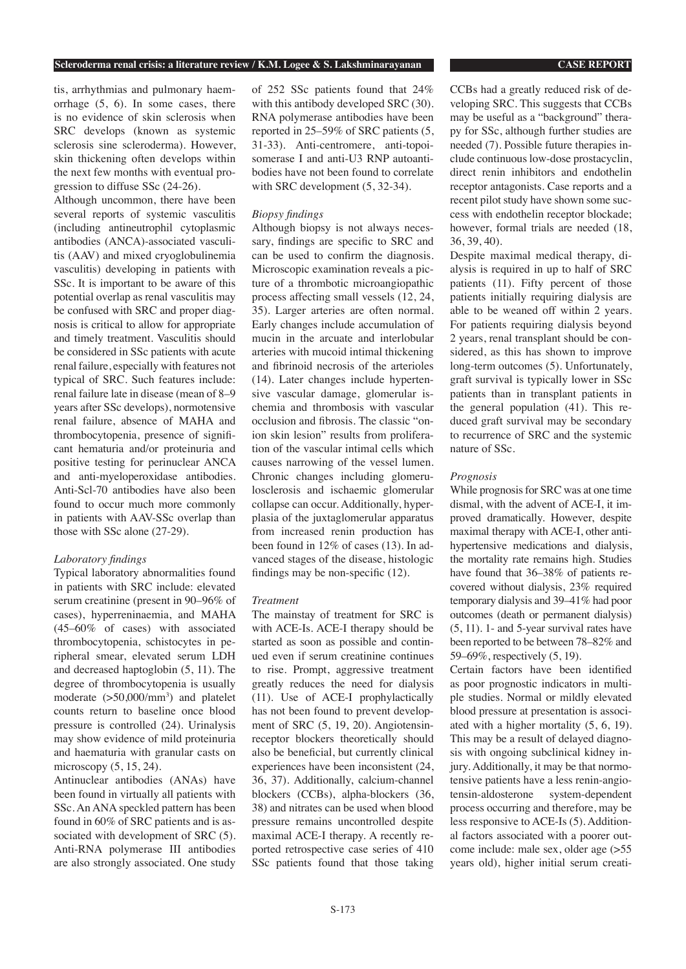#### **Scleroderma renal crisis: a literature review / K.M. Logee & S. Lakshminarayanan CASE REPORT**

tis, arrhythmias and pulmonary haemorrhage (5, 6). In some cases, there is no evidence of skin sclerosis when SRC develops (known as systemic sclerosis sine scleroderma). However, skin thickening often develops within the next few months with eventual progression to diffuse SSc (24-26).

Although uncommon, there have been several reports of systemic vasculitis (including antineutrophil cytoplasmic antibodies (ANCA)-associated vasculitis (AAV) and mixed cryoglobulinemia vasculitis) developing in patients with SSc. It is important to be aware of this potential overlap as renal vasculitis may be confused with SRC and proper diagnosis is critical to allow for appropriate and timely treatment. Vasculitis should be considered in SSc patients with acute renal failure, especially with features not typical of SRC. Such features include: renal failure late in disease (mean of 8–9 years after SSc develops), normotensive renal failure, absence of MAHA and thrombocytopenia, presence of significant hematuria and/or proteinuria and positive testing for perinuclear ANCA and anti-myeloperoxidase antibodies. Anti-Scl-70 antibodies have also been found to occur much more commonly in patients with AAV-SSc overlap than those with SSc alone (27-29).

# *Laboratory findings*

Typical laboratory abnormalities found in patients with SRC include: elevated serum creatinine (present in 90–96% of cases), hyperreninaemia, and MAHA (45–60% of cases) with associated thrombocytopenia, schistocytes in peripheral smear, elevated serum LDH and decreased haptoglobin (5, 11). The degree of thrombocytopenia is usually moderate ( $>50,000/\text{mm}^3$ ) and platelet counts return to baseline once blood pressure is controlled (24). Urinalysis may show evidence of mild proteinuria and haematuria with granular casts on microscopy (5, 15, 24).

Antinuclear antibodies (ANAs) have been found in virtually all patients with SSc. An ANA speckled pattern has been found in 60% of SRC patients and is associated with development of SRC (5). Anti-RNA polymerase III antibodies are also strongly associated. One study

of 252 SSc patients found that 24% with this antibody developed SRC (30). RNA polymerase antibodies have been reported in 25–59% of SRC patients (5, 31-33). Anti-centromere, anti-topoisomerase I and anti-U3 RNP autoantibodies have not been found to correlate with SRC development  $(5, 32-34)$ .

#### *Biopsy findings*

Although biopsy is not always necessary, findings are specific to SRC and can be used to confirm the diagnosis. Microscopic examination reveals a picture of a thrombotic microangiopathic process affecting small vessels (12, 24, 35). Larger arteries are often normal. Early changes include accumulation of mucin in the arcuate and interlobular arteries with mucoid intimal thickening and fibrinoid necrosis of the arterioles (14). Later changes include hypertensive vascular damage, glomerular ischemia and thrombosis with vascular occlusion and fibrosis. The classic "onion skin lesion" results from proliferation of the vascular intimal cells which causes narrowing of the vessel lumen. Chronic changes including glomerulosclerosis and ischaemic glomerular collapse can occur. Additionally, hyperplasia of the juxtaglomerular apparatus from increased renin production has been found in 12% of cases (13). In advanced stages of the disease, histologic findings may be non-specific (12).

#### *Treatment*

The mainstay of treatment for SRC is with ACE-Is. ACE-I therapy should be started as soon as possible and continued even if serum creatinine continues to rise. Prompt, aggressive treatment greatly reduces the need for dialysis (11). Use of ACE-I prophylactically has not been found to prevent development of SRC (5, 19, 20). Angiotensinreceptor blockers theoretically should also be beneficial, but currently clinical experiences have been inconsistent (24, 36, 37). Additionally, calcium-channel blockers (CCBs), alpha-blockers (36, 38) and nitrates can be used when blood pressure remains uncontrolled despite maximal ACE-I therapy. A recently reported retrospective case series of 410 SSc patients found that those taking CCBs had a greatly reduced risk of developing SRC. This suggests that CCBs may be useful as a "background" therapy for SSc, although further studies are needed (7). Possible future therapies include continuous low-dose prostacyclin, direct renin inhibitors and endothelin receptor antagonists. Case reports and a recent pilot study have shown some success with endothelin receptor blockade; however, formal trials are needed (18, 36, 39, 40).

Despite maximal medical therapy, dialysis is required in up to half of SRC patients (11). Fifty percent of those patients initially requiring dialysis are able to be weaned off within 2 years. For patients requiring dialysis beyond 2 years, renal transplant should be considered, as this has shown to improve long-term outcomes (5). Unfortunately, graft survival is typically lower in SSc patients than in transplant patients in the general population (41). This reduced graft survival may be secondary to recurrence of SRC and the systemic nature of SSc.

#### *Prognosis*

While prognosis for SRC was at one time dismal, with the advent of ACE-I, it improved dramatically. However, despite maximal therapy with ACE-I, other antihypertensive medications and dialysis, the mortality rate remains high. Studies have found that 36–38% of patients recovered without dialysis, 23% required temporary dialysis and 39–41% had poor outcomes (death or permanent dialysis) (5, 11). 1- and 5-year survival rates have been reported to be between 78–82% and 59–69%, respectively (5, 19).

Certain factors have been identified as poor prognostic indicators in multiple studies. Normal or mildly elevated blood pressure at presentation is associated with a higher mortality (5, 6, 19). This may be a result of delayed diagnosis with ongoing subclinical kidney injury. Additionally, it may be that normotensive patients have a less renin-angiotensin-aldosterone system-dependent process occurring and therefore, may be less responsive to ACE-Is (5). Additional factors associated with a poorer outcome include: male sex, older age (>55 years old), higher initial serum creati-